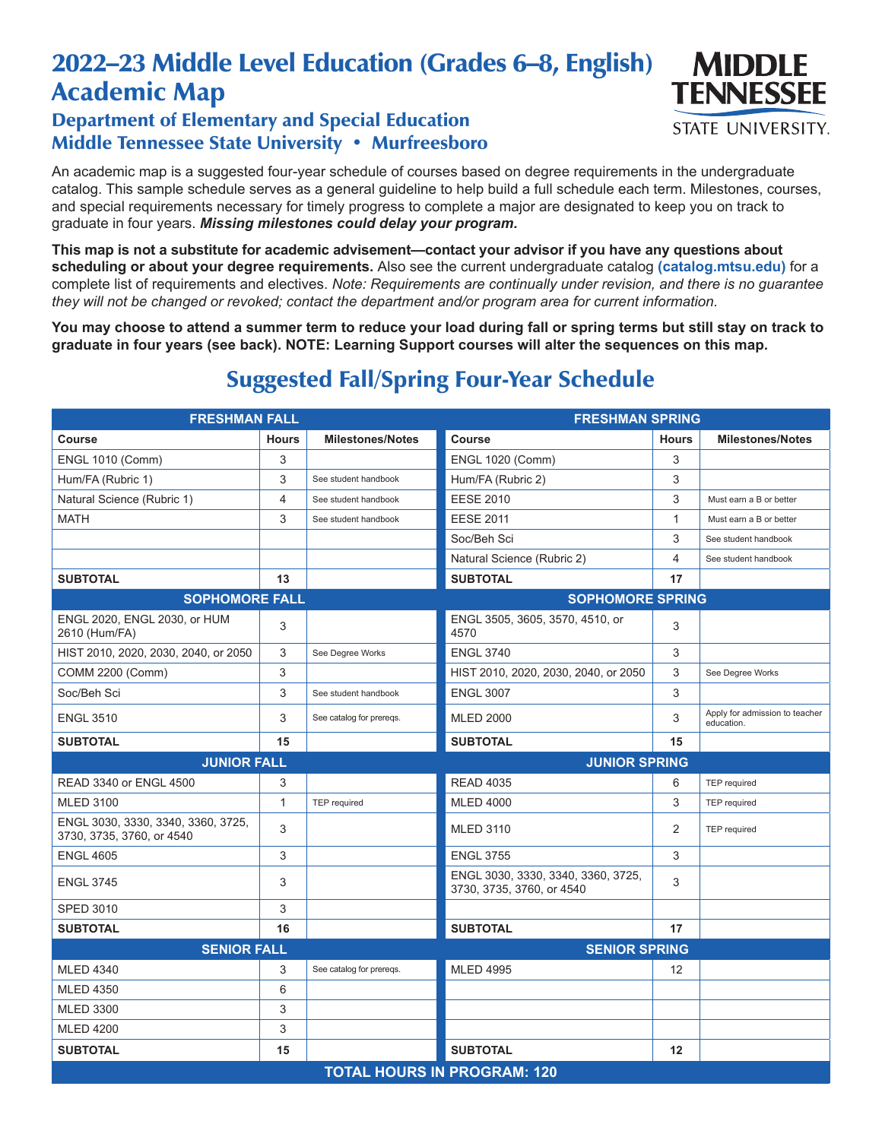## 2022–23 Middle Level Education (Grades 6–8, English) Academic Map

## Department of Elementary and Special Education Middle Tennessee State University • Murfreesboro

An academic map is a suggested four-year schedule of courses based on degree requirements in the undergraduate catalog. This sample schedule serves as a general guideline to help build a full schedule each term. Milestones, courses, and special requirements necessary for timely progress to complete a major are designated to keep you on track to graduate in four years. *Missing milestones could delay your program.*

**This map is not a substitute for academic advisement—contact your advisor if you have any questions about scheduling or about your degree requirements.** Also see the current undergraduate catalog **(catalog.mtsu.edu)** for a complete list of requirements and electives. *Note: Requirements are continually under revision, and there is no guarantee they will not be changed or revoked; contact the department and/or program area for current information.*

**You may choose to attend a summer term to reduce your load during fall or spring terms but still stay on track to graduate in four years (see back). NOTE: Learning Support courses will alter the sequences on this map.**

| <b>FRESHMAN FALL</b>                                            |              |                          | <b>FRESHMAN SPRING</b>                                          |              |                                              |  |  |
|-----------------------------------------------------------------|--------------|--------------------------|-----------------------------------------------------------------|--------------|----------------------------------------------|--|--|
| <b>Course</b>                                                   | <b>Hours</b> | <b>Milestones/Notes</b>  | Course                                                          | <b>Hours</b> | <b>Milestones/Notes</b>                      |  |  |
| <b>ENGL 1010 (Comm)</b>                                         | 3            |                          | <b>ENGL 1020 (Comm)</b>                                         | 3            |                                              |  |  |
| Hum/FA (Rubric 1)                                               | 3            | See student handbook     | Hum/FA (Rubric 2)                                               | 3            |                                              |  |  |
| Natural Science (Rubric 1)                                      | 4            | See student handbook     | <b>EESE 2010</b>                                                | 3            | Must earn a B or better                      |  |  |
| <b>MATH</b>                                                     | 3            | See student handbook     | <b>EESE 2011</b>                                                | 1            | Must earn a B or better                      |  |  |
|                                                                 |              |                          | Soc/Beh Sci                                                     | 3            | See student handbook                         |  |  |
|                                                                 |              |                          | Natural Science (Rubric 2)                                      | 4            | See student handbook                         |  |  |
| <b>SUBTOTAL</b>                                                 | 13           |                          | <b>SUBTOTAL</b>                                                 | 17           |                                              |  |  |
| <b>SOPHOMORE FALL</b>                                           |              |                          | <b>SOPHOMORE SPRING</b>                                         |              |                                              |  |  |
| ENGL 2020, ENGL 2030, or HUM<br>2610 (Hum/FA)                   | 3            |                          | ENGL 3505, 3605, 3570, 4510, or<br>4570                         | 3            |                                              |  |  |
| HIST 2010, 2020, 2030, 2040, or 2050                            | 3            | See Degree Works         | <b>ENGL 3740</b>                                                | 3            |                                              |  |  |
| COMM 2200 (Comm)                                                | 3            |                          | HIST 2010, 2020, 2030, 2040, or 2050                            | 3            | See Degree Works                             |  |  |
| Soc/Beh Sci                                                     | 3            | See student handbook     | <b>ENGL 3007</b>                                                | 3            |                                              |  |  |
| <b>ENGL 3510</b>                                                | 3            | See catalog for prereqs. | <b>MLED 2000</b>                                                | 3            | Apply for admission to teacher<br>education. |  |  |
| <b>SUBTOTAL</b>                                                 | 15           |                          | <b>SUBTOTAL</b>                                                 | 15           |                                              |  |  |
| <b>JUNIOR FALL</b>                                              |              | <b>JUNIOR SPRING</b>     |                                                                 |              |                                              |  |  |
| <b>READ 3340 or ENGL 4500</b>                                   | 3            |                          | <b>READ 4035</b>                                                | 6            | <b>TEP</b> required                          |  |  |
| <b>MLED 3100</b>                                                | $\mathbf{1}$ | <b>TEP</b> required      | <b>MLED 4000</b>                                                | 3            | <b>TEP</b> required                          |  |  |
| ENGL 3030, 3330, 3340, 3360, 3725,<br>3730, 3735, 3760, or 4540 | 3            |                          | <b>MLED 3110</b>                                                | 2            | <b>TEP</b> required                          |  |  |
| <b>ENGL 4605</b>                                                | 3            |                          | <b>ENGL 3755</b>                                                | 3            |                                              |  |  |
| <b>ENGL 3745</b>                                                | 3            |                          | ENGL 3030, 3330, 3340, 3360, 3725,<br>3730, 3735, 3760, or 4540 | 3            |                                              |  |  |
| <b>SPED 3010</b>                                                | 3            |                          |                                                                 |              |                                              |  |  |
| <b>SUBTOTAL</b>                                                 | 16           |                          | <b>SUBTOTAL</b>                                                 | 17           |                                              |  |  |
| <b>SENIOR FALL</b>                                              |              |                          | <b>SENIOR SPRING</b>                                            |              |                                              |  |  |
| <b>MLED 4340</b>                                                | 3            | See catalog for preregs. | <b>MLED 4995</b>                                                | 12           |                                              |  |  |
| <b>MLED 4350</b>                                                | 6            |                          |                                                                 |              |                                              |  |  |
| <b>MLED 3300</b>                                                | 3            |                          |                                                                 |              |                                              |  |  |
| <b>MLED 4200</b>                                                | 3            |                          |                                                                 |              |                                              |  |  |
| <b>SUBTOTAL</b>                                                 | 15           |                          | <b>SUBTOTAL</b>                                                 | 12           |                                              |  |  |
| <b>TOTAL HOURS IN PROGRAM: 120</b>                              |              |                          |                                                                 |              |                                              |  |  |

## Suggested Fall/Spring Four-Year Schedule